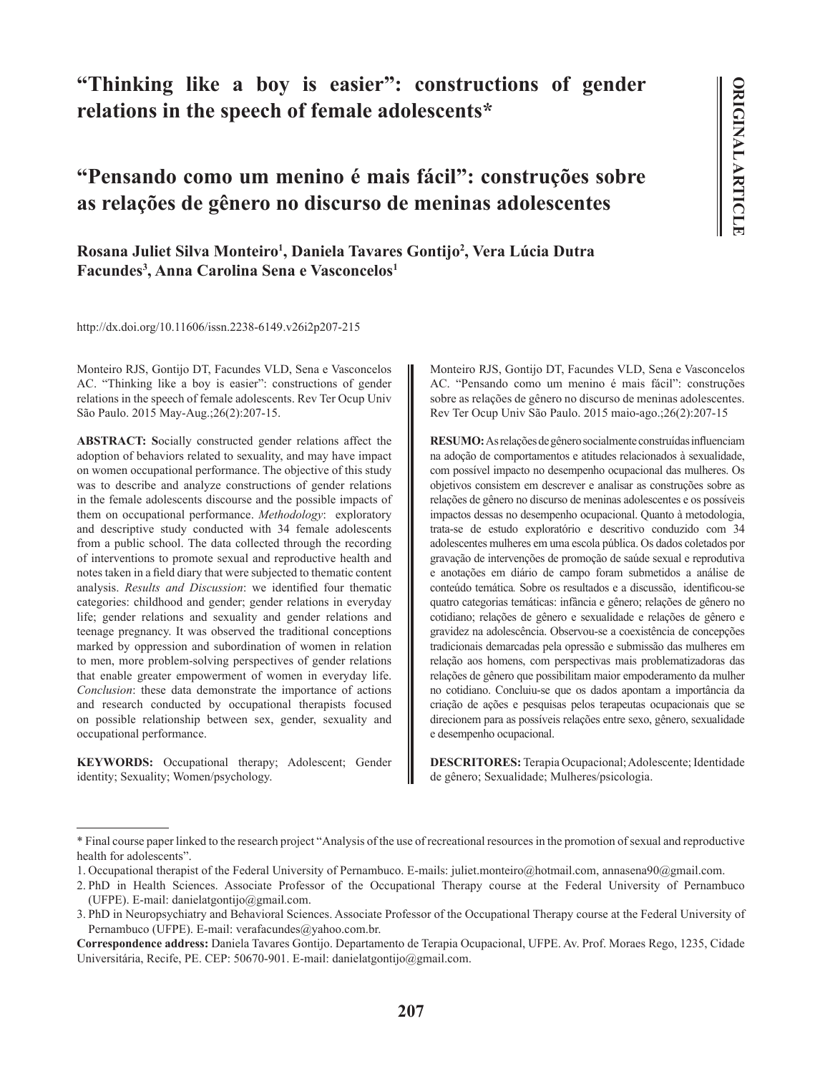# **"Thinking like a boy is easier": constructions of gender relations in the speech of female adolescents\***

# **"Pensando como um menino é mais fácil": construções sobre as relações de gênero no discurso de meninas adolescentes**

**Rosana Juliet Silva Monteiro1 , Daniela Tavares Gontijo2 , Vera Lúcia Dutra Facundes3 , Anna Carolina Sena e Vasconcelos1**

http://dx.doi.org/10.11606/issn.2238-6149.v26i2p207-215

Monteiro RJS, Gontijo DT, Facundes VLD, Sena e Vasconcelos AC. "Thinking like a boy is easier": constructions of gender relations in the speech of female adolescents. Rev Ter Ocup Univ São Paulo. 2015 May-Aug.;26(2):207-15.

**ABSTRACT: S**ocially constructed gender relations affect the adoption of behaviors related to sexuality, and may have impact on women occupational performance. The objective of this study was to describe and analyze constructions of gender relations in the female adolescents discourse and the possible impacts of them on occupational performance. *Methodology*: exploratory and descriptive study conducted with 34 female adolescents from a public school. The data collected through the recording of interventions to promote sexual and reproductive health and notes taken in a field diary that were subjected to thematic content analysis. *Results and Discussion*: we identified four thematic categories: childhood and gender; gender relations in everyday life; gender relations and sexuality and gender relations and teenage pregnancy. It was observed the traditional conceptions marked by oppression and subordination of women in relation to men, more problem-solving perspectives of gender relations that enable greater empowerment of women in everyday life. *Conclusion*: these data demonstrate the importance of actions and research conducted by occupational therapists focused on possible relationship between sex, gender, sexuality and occupational performance.

**KEYWORDS:** Occupational therapy; Adolescent; Gender identity; Sexuality; Women/psychology.

Monteiro RJS, Gontijo DT, Facundes VLD, Sena e Vasconcelos AC. "Pensando como um menino é mais fácil": construções sobre as relações de gênero no discurso de meninas adolescentes. Rev Ter Ocup Univ São Paulo. 2015 maio-ago.;26(2):207-15

**RESUMO:** As relações de gênero socialmente construídas influenciam na adoção de comportamentos e atitudes relacionados à sexualidade, com possível impacto no desempenho ocupacional das mulheres. Os objetivos consistem em descrever e analisar as construções sobre as relações de gênero no discurso de meninas adolescentes e os possíveis impactos dessas no desempenho ocupacional. Quanto à metodologia, trata-se de estudo exploratório e descritivo conduzido com 34 adolescentes mulheres em uma escola pública. Os dados coletados por gravação de intervenções de promoção de saúde sexual e reprodutiva e anotações em diário de campo foram submetidos a análise de conteúdo temática*.* Sobre os resultados e a discussão, identificou-se quatro categorias temáticas: infância e gênero; relações de gênero no cotidiano; relações de gênero e sexualidade e relações de gênero e gravidez na adolescência. Observou-se a coexistência de concepções tradicionais demarcadas pela opressão e submissão das mulheres em relação aos homens, com perspectivas mais problematizadoras das relações de gênero que possibilitam maior empoderamento da mulher no cotidiano. Concluiu-se que os dados apontam a importância da criação de ações e pesquisas pelos terapeutas ocupacionais que se direcionem para as possíveis relações entre sexo, gênero, sexualidade e desempenho ocupacional.

**DESCRITORES:** Terapia Ocupacional; Adolescente; Identidade de gênero; Sexualidade; Mulheres/psicologia.

<sup>\*</sup> Final course paper linked to the research project "Analysis of the use of recreational resources in the promotion of sexual and reproductive health for adolescents".

<sup>1.</sup> Occupational therapist of the Federal University of Pernambuco. E-mails: juliet.monteiro@hotmail.com, annasena90@gmail.com.

<sup>2.</sup> PhD in Health Sciences. Associate Professor of the Occupational Therapy course at the Federal University of Pernambuco (UFPE). E-mail: danielatgontijo@gmail.com.

<sup>3.</sup> PhD in Neuropsychiatry and Behavioral Sciences. Associate Professor of the Occupational Therapy course at the Federal University of Pernambuco (UFPE). E-mail: verafacundes@yahoo.com.br.

**Correspondence address:** Daniela Tavares Gontijo. Departamento de Terapia Ocupacional, UFPE. Av. Prof. Moraes Rego, 1235, Cidade Universitária, Recife, PE. CEP: 50670-901. E-mail: danielatgontijo@gmail.com.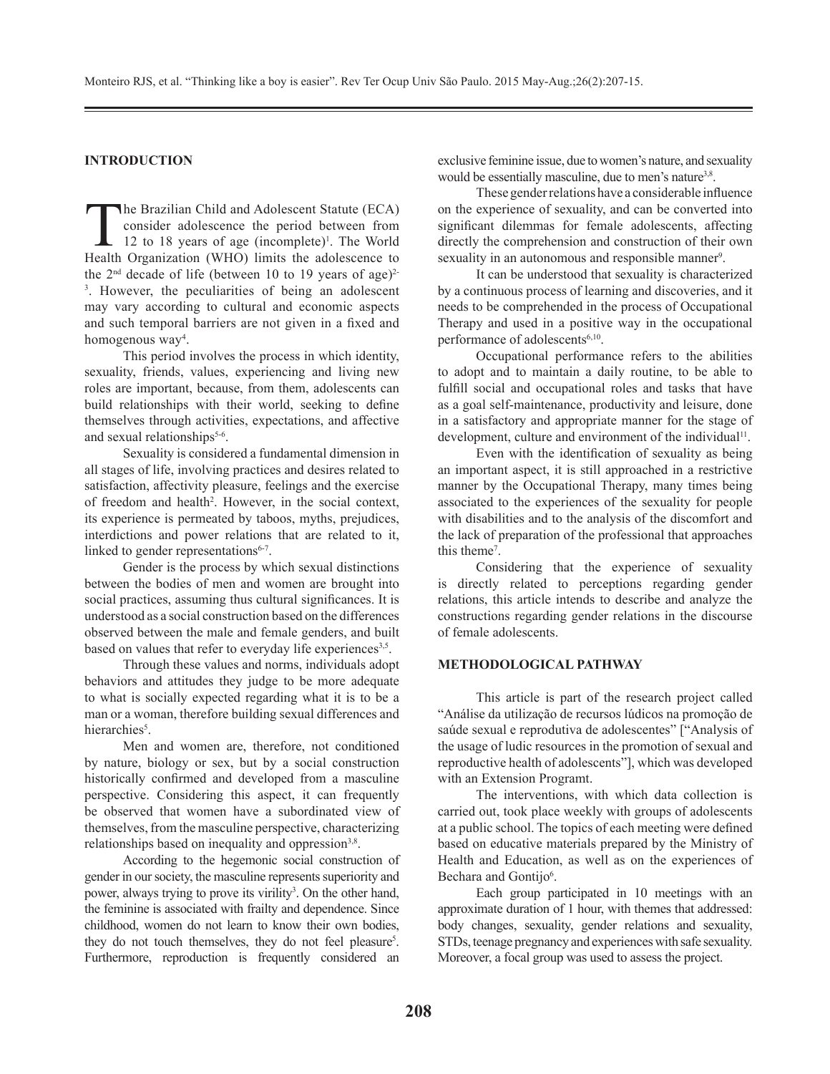# **INTRODUCTION**

The Brazilian Child and Adolescent Statute (ECA)<br>consider adolescence the period between from<br>12 to 18 years of age (incomplete)<sup>1</sup>. The World<br>Health Organization (WHO) limits the adolescence to consider adolescence the period between from 12 to 18 years of age (incomplete)<sup>1</sup>. The World Health Organization (WHO) limits the adolescence to the  $2<sup>nd</sup>$  decade of life (between 10 to 19 years of age)<sup>2-</sup> 3 . However, the peculiarities of being an adolescent may vary according to cultural and economic aspects and such temporal barriers are not given in a fixed and homogenous way<sup>4</sup>.

This period involves the process in which identity, sexuality, friends, values, experiencing and living new roles are important, because, from them, adolescents can build relationships with their world, seeking to define themselves through activities, expectations, and affective and sexual relationships $5-6$ .

Sexuality is considered a fundamental dimension in all stages of life, involving practices and desires related to satisfaction, affectivity pleasure, feelings and the exercise of freedom and health<sup>2</sup>. However, in the social context, its experience is permeated by taboos, myths, prejudices, interdictions and power relations that are related to it, linked to gender representations $6-7$ .

Gender is the process by which sexual distinctions between the bodies of men and women are brought into social practices, assuming thus cultural significances. It is understood as a social construction based on the differences observed between the male and female genders, and built based on values that refer to everyday life experiences<sup>3,5</sup>.

Through these values and norms, individuals adopt behaviors and attitudes they judge to be more adequate to what is socially expected regarding what it is to be a man or a woman, therefore building sexual differences and hierarchies<sup>5</sup>.

Men and women are, therefore, not conditioned by nature, biology or sex, but by a social construction historically confirmed and developed from a masculine perspective. Considering this aspect, it can frequently be observed that women have a subordinated view of themselves, from the masculine perspective, characterizing relationships based on inequality and oppression<sup>3,8</sup>.

According to the hegemonic social construction of gender in our society, the masculine represents superiority and power, always trying to prove its virility<sup>3</sup>. On the other hand, the feminine is associated with frailty and dependence. Since childhood, women do not learn to know their own bodies, they do not touch themselves, they do not feel pleasure<sup>5</sup>. Furthermore, reproduction is frequently considered an

exclusive feminine issue, due to women's nature, and sexuality would be essentially masculine, due to men's nature<sup>3,8</sup>.

These gender relations have a considerable influence on the experience of sexuality, and can be converted into significant dilemmas for female adolescents, affecting directly the comprehension and construction of their own sexuality in an autonomous and responsible manner<sup>9</sup>.

It can be understood that sexuality is characterized by a continuous process of learning and discoveries, and it needs to be comprehended in the process of Occupational Therapy and used in a positive way in the occupational performance of adolescents<sup>6,10</sup>.

Occupational performance refers to the abilities to adopt and to maintain a daily routine, to be able to fulfill social and occupational roles and tasks that have as a goal self-maintenance, productivity and leisure, done in a satisfactory and appropriate manner for the stage of development, culture and environment of the individual<sup>11</sup>.

Even with the identification of sexuality as being an important aspect, it is still approached in a restrictive manner by the Occupational Therapy, many times being associated to the experiences of the sexuality for people with disabilities and to the analysis of the discomfort and the lack of preparation of the professional that approaches this theme<sup>7</sup>.

Considering that the experience of sexuality is directly related to perceptions regarding gender relations, this article intends to describe and analyze the constructions regarding gender relations in the discourse of female adolescents.

# **METHODOLOGICAL PATHWAY**

This article is part of the research project called "Análise da utilização de recursos lúdicos na promoção de saúde sexual e reprodutiva de adolescentes" ["Analysis of the usage of ludic resources in the promotion of sexual and reproductive health of adolescents"], which was developed with an Extension Programt.

The interventions, with which data collection is carried out, took place weekly with groups of adolescents at a public school. The topics of each meeting were defined based on educative materials prepared by the Ministry of Health and Education, as well as on the experiences of Bechara and Gontijo<sup>6</sup>.

Each group participated in 10 meetings with an approximate duration of 1 hour, with themes that addressed: body changes, sexuality, gender relations and sexuality, STDs, teenage pregnancy and experiences with safe sexuality. Moreover, a focal group was used to assess the project.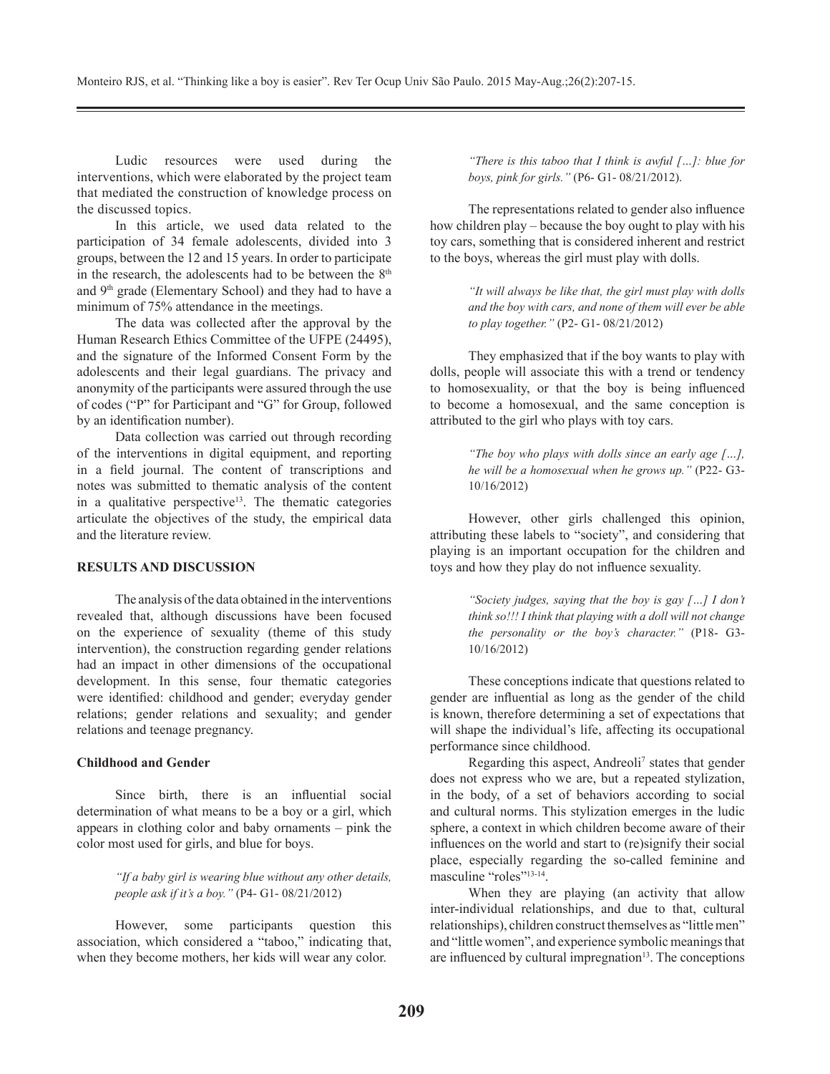Ludic resources were used during the interventions, which were elaborated by the project team that mediated the construction of knowledge process on the discussed topics.

In this article, we used data related to the participation of 34 female adolescents, divided into 3 groups, between the 12 and 15 years. In order to participate in the research, the adolescents had to be between the  $8<sup>th</sup>$ and 9<sup>th</sup> grade (Elementary School) and they had to have a minimum of 75% attendance in the meetings.

The data was collected after the approval by the Human Research Ethics Committee of the UFPE (24495), and the signature of the Informed Consent Form by the adolescents and their legal guardians. The privacy and anonymity of the participants were assured through the use of codes ("P" for Participant and "G" for Group, followed by an identification number).

Data collection was carried out through recording of the interventions in digital equipment, and reporting in a field journal. The content of transcriptions and notes was submitted to thematic analysis of the content in a qualitative perspective<sup>13</sup>. The thematic categories articulate the objectives of the study, the empirical data and the literature review.

# **RESULTS AND DISCUSSION**

The analysis of the data obtained in the interventions revealed that, although discussions have been focused on the experience of sexuality (theme of this study intervention), the construction regarding gender relations had an impact in other dimensions of the occupational development. In this sense, four thematic categories were identified: childhood and gender; everyday gender relations; gender relations and sexuality; and gender relations and teenage pregnancy.

# **Childhood and Gender**

Since birth, there is an influential social determination of what means to be a boy or a girl, which appears in clothing color and baby ornaments – pink the color most used for girls, and blue for boys.

> *"If a baby girl is wearing blue without any other details, people ask if it's a boy."* (P4- G1- 08/21/2012)

However, some participants question this association, which considered a "taboo," indicating that, when they become mothers, her kids will wear any color.

*"There is this taboo that I think is awful […]: blue for boys, pink for girls."* (P6- G1- 08/21/2012).

The representations related to gender also influence how children play – because the boy ought to play with his toy cars, something that is considered inherent and restrict to the boys, whereas the girl must play with dolls.

> *"It will always be like that, the girl must play with dolls and the boy with cars, and none of them will ever be able to play together."* (P2- G1- 08/21/2012)

They emphasized that if the boy wants to play with dolls, people will associate this with a trend or tendency to homosexuality, or that the boy is being influenced to become a homosexual, and the same conception is attributed to the girl who plays with toy cars.

> *"The boy who plays with dolls since an early age […], he will be a homosexual when he grows up."* (P22- G3- 10/16/2012)

However, other girls challenged this opinion, attributing these labels to "society", and considering that playing is an important occupation for the children and toys and how they play do not influence sexuality.

> *"Society judges, saying that the boy is gay […] I don't think so!!! I think that playing with a doll will not change the personality or the boy's character."* (P18- G3- 10/16/2012)

These conceptions indicate that questions related to gender are influential as long as the gender of the child is known, therefore determining a set of expectations that will shape the individual's life, affecting its occupational performance since childhood.

Regarding this aspect, Andreoli<sup>7</sup> states that gender does not express who we are, but a repeated stylization, in the body, of a set of behaviors according to social and cultural norms. This stylization emerges in the ludic sphere, a context in which children become aware of their influences on the world and start to (re)signify their social place, especially regarding the so-called feminine and masculine "roles"<sup>13-14</sup>.

When they are playing (an activity that allow inter-individual relationships, and due to that, cultural relationships), children construct themselves as "little men" and "little women", and experience symbolic meanings that are influenced by cultural impregnation $13$ . The conceptions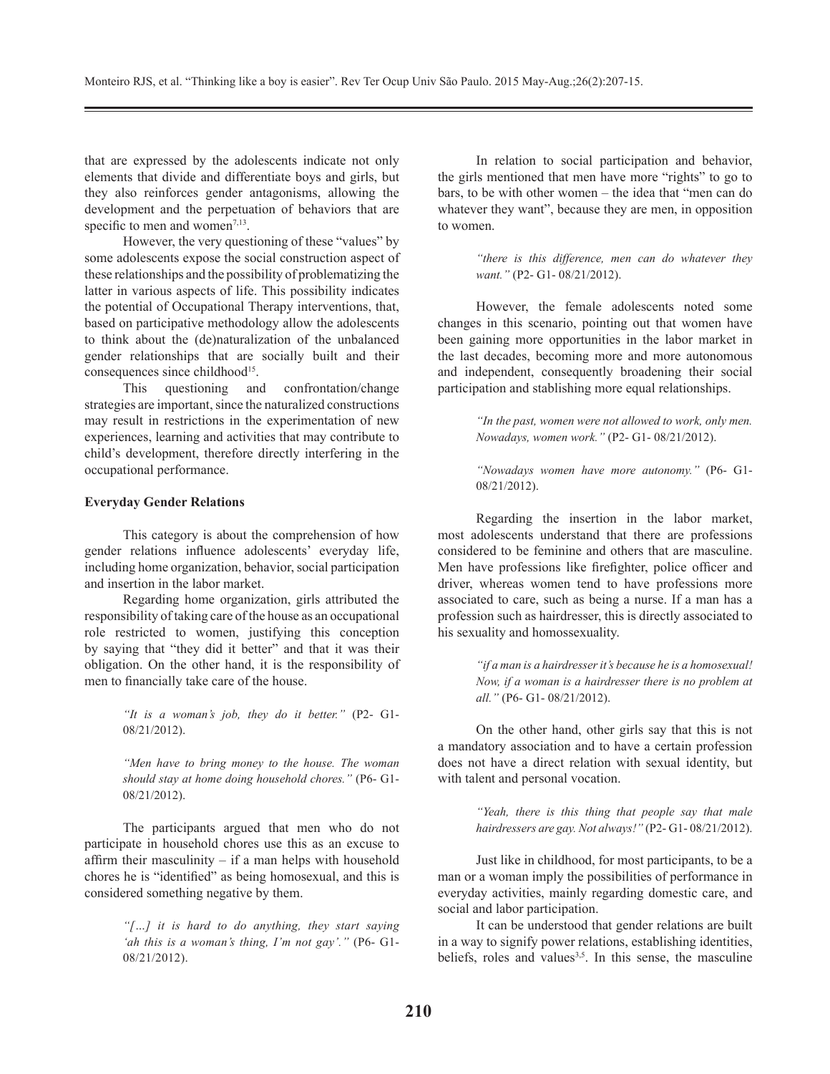that are expressed by the adolescents indicate not only elements that divide and differentiate boys and girls, but they also reinforces gender antagonisms, allowing the development and the perpetuation of behaviors that are specific to men and women $7,13$ .

However, the very questioning of these "values" by some adolescents expose the social construction aspect of these relationships and the possibility of problematizing the latter in various aspects of life. This possibility indicates the potential of Occupational Therapy interventions, that, based on participative methodology allow the adolescents to think about the (de)naturalization of the unbalanced gender relationships that are socially built and their consequences since childhood<sup>15</sup>.

This questioning and confrontation/change strategies are important, since the naturalized constructions may result in restrictions in the experimentation of new experiences, learning and activities that may contribute to child's development, therefore directly interfering in the occupational performance.

#### **Everyday Gender Relations**

This category is about the comprehension of how gender relations influence adolescents' everyday life, including home organization, behavior, social participation and insertion in the labor market.

Regarding home organization, girls attributed the responsibility of taking care of the house as an occupational role restricted to women, justifying this conception by saying that "they did it better" and that it was their obligation. On the other hand, it is the responsibility of men to financially take care of the house.

> *"It is a woman's job, they do it better."* (P2- G1- 08/21/2012).

> *"Men have to bring money to the house. The woman should stay at home doing household chores."* (P6- G1- 08/21/2012).

The participants argued that men who do not participate in household chores use this as an excuse to affirm their masculinity  $-$  if a man helps with household chores he is "identified" as being homosexual, and this is considered something negative by them.

> *"[…] it is hard to do anything, they start saying 'ah this is a woman's thing, I'm not gay'."* (P6- G1- 08/21/2012).

In relation to social participation and behavior, the girls mentioned that men have more "rights" to go to bars, to be with other women – the idea that "men can do whatever they want", because they are men, in opposition to women.

> *"there is this difference, men can do whatever they want."* (P2- G1- 08/21/2012).

However, the female adolescents noted some changes in this scenario, pointing out that women have been gaining more opportunities in the labor market in the last decades, becoming more and more autonomous and independent, consequently broadening their social participation and stablishing more equal relationships.

> *"In the past, women were not allowed to work, only men. Nowadays, women work."* (P2- G1- 08/21/2012).

> *"Nowadays women have more autonomy."* (P6- G1- 08/21/2012).

Regarding the insertion in the labor market, most adolescents understand that there are professions considered to be feminine and others that are masculine. Men have professions like firefighter, police officer and driver, whereas women tend to have professions more associated to care, such as being a nurse. If a man has a profession such as hairdresser, this is directly associated to his sexuality and homossexuality.

> *"if a man is a hairdresser it's because he is a homosexual! Now, if a woman is a hairdresser there is no problem at all."* (P6- G1- 08/21/2012).

On the other hand, other girls say that this is not a mandatory association and to have a certain profession does not have a direct relation with sexual identity, but with talent and personal vocation.

> *"Yeah, there is this thing that people say that male hairdressers are gay. Not always!"* (P2- G1- 08/21/2012).

Just like in childhood, for most participants, to be a man or a woman imply the possibilities of performance in everyday activities, mainly regarding domestic care, and social and labor participation.

It can be understood that gender relations are built in a way to signify power relations, establishing identities, beliefs, roles and values $3,5$ . In this sense, the masculine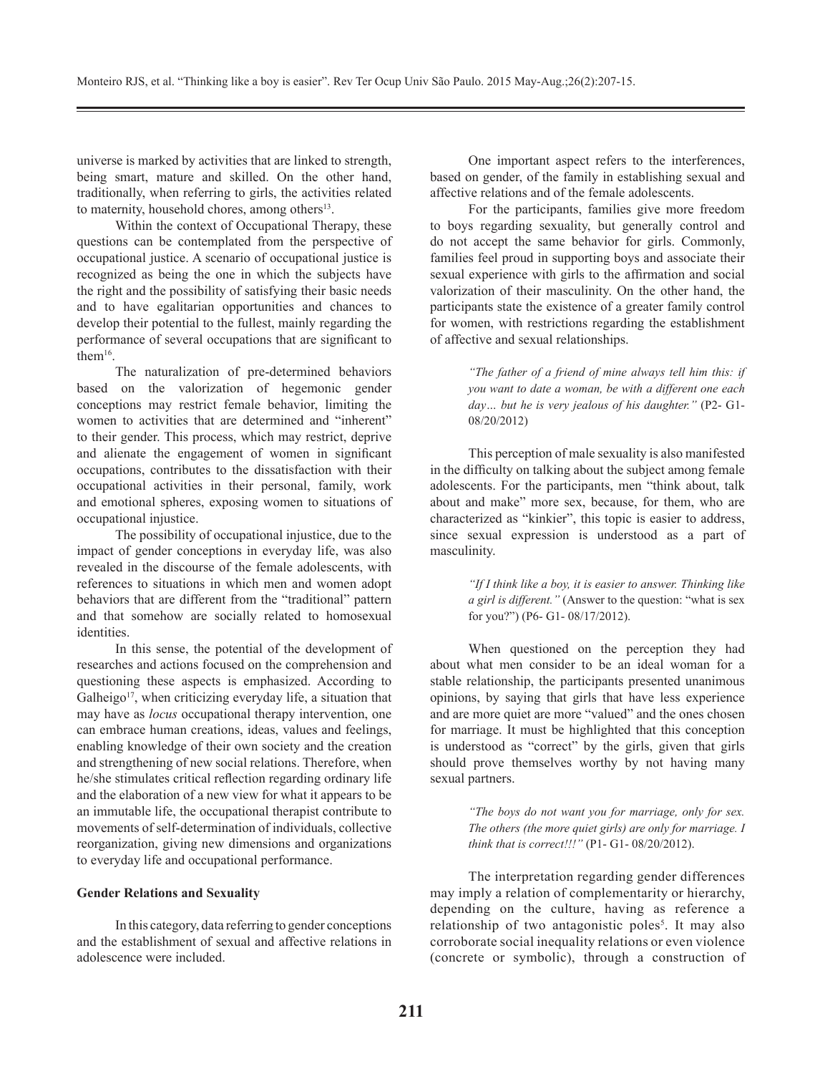universe is marked by activities that are linked to strength, being smart, mature and skilled. On the other hand, traditionally, when referring to girls, the activities related to maternity, household chores, among others<sup>13</sup>.

Within the context of Occupational Therapy, these questions can be contemplated from the perspective of occupational justice. A scenario of occupational justice is recognized as being the one in which the subjects have the right and the possibility of satisfying their basic needs and to have egalitarian opportunities and chances to develop their potential to the fullest, mainly regarding the performance of several occupations that are significant to them $16$ 

The naturalization of pre-determined behaviors based on the valorization of hegemonic gender conceptions may restrict female behavior, limiting the women to activities that are determined and "inherent" to their gender. This process, which may restrict, deprive and alienate the engagement of women in significant occupations, contributes to the dissatisfaction with their occupational activities in their personal, family, work and emotional spheres, exposing women to situations of occupational injustice.

The possibility of occupational injustice, due to the impact of gender conceptions in everyday life, was also revealed in the discourse of the female adolescents, with references to situations in which men and women adopt behaviors that are different from the "traditional" pattern and that somehow are socially related to homosexual **identities** 

In this sense, the potential of the development of researches and actions focused on the comprehension and questioning these aspects is emphasized. According to Galheigo<sup>17</sup>, when criticizing everyday life, a situation that may have as *locus* occupational therapy intervention, one can embrace human creations, ideas, values and feelings, enabling knowledge of their own society and the creation and strengthening of new social relations. Therefore, when he/she stimulates critical reflection regarding ordinary life and the elaboration of a new view for what it appears to be an immutable life, the occupational therapist contribute to movements of self-determination of individuals, collective reorganization, giving new dimensions and organizations to everyday life and occupational performance.

#### **Gender Relations and Sexuality**

In this category, data referring to gender conceptions and the establishment of sexual and affective relations in adolescence were included.

One important aspect refers to the interferences, based on gender, of the family in establishing sexual and affective relations and of the female adolescents.

For the participants, families give more freedom to boys regarding sexuality, but generally control and do not accept the same behavior for girls. Commonly, families feel proud in supporting boys and associate their sexual experience with girls to the affirmation and social valorization of their masculinity. On the other hand, the participants state the existence of a greater family control for women, with restrictions regarding the establishment of affective and sexual relationships.

> *"The father of a friend of mine always tell him this: if you want to date a woman, be with a different one each day… but he is very jealous of his daughter."* (P2- G1- 08/20/2012)

This perception of male sexuality is also manifested in the difficulty on talking about the subject among female adolescents. For the participants, men "think about, talk about and make" more sex, because, for them, who are characterized as "kinkier", this topic is easier to address, since sexual expression is understood as a part of masculinity.

> *"If I think like a boy, it is easier to answer. Thinking like a girl is different."* (Answer to the question: "what is sex for you?") (P6- G1- 08/17/2012).

When questioned on the perception they had about what men consider to be an ideal woman for a stable relationship, the participants presented unanimous opinions, by saying that girls that have less experience and are more quiet are more "valued" and the ones chosen for marriage. It must be highlighted that this conception is understood as "correct" by the girls, given that girls should prove themselves worthy by not having many sexual partners.

> *"The boys do not want you for marriage, only for sex. The others (the more quiet girls) are only for marriage. I think that is correct!!!"* (P1- G1- 08/20/2012).

The interpretation regarding gender differences may imply a relation of complementarity or hierarchy, depending on the culture, having as reference a relationship of two antagonistic poles<sup>5</sup>. It may also corroborate social inequality relations or even violence (concrete or symbolic), through a construction of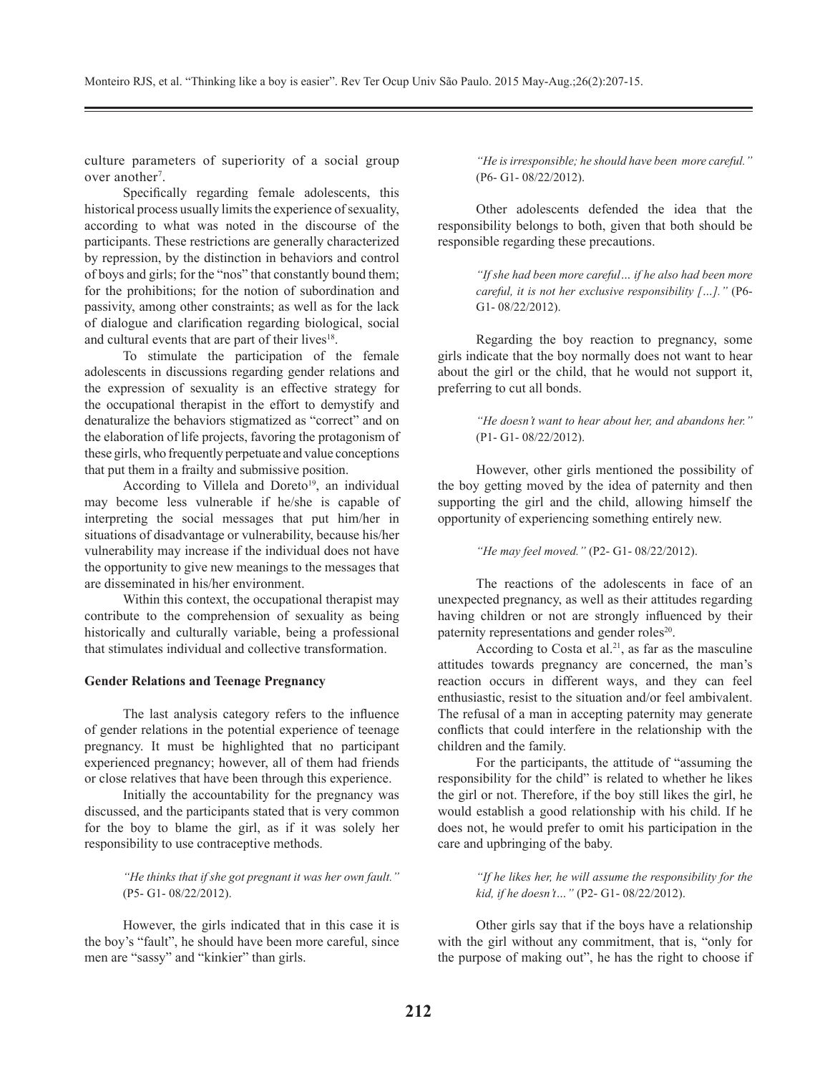culture parameters of superiority of a social group over another<sup>7</sup>.

Specifically regarding female adolescents, this historical process usually limits the experience of sexuality, according to what was noted in the discourse of the participants. These restrictions are generally characterized by repression, by the distinction in behaviors and control of boys and girls; for the "nos" that constantly bound them; for the prohibitions; for the notion of subordination and passivity, among other constraints; as well as for the lack of dialogue and clarification regarding biological, social and cultural events that are part of their lives<sup>18</sup>.

To stimulate the participation of the female adolescents in discussions regarding gender relations and the expression of sexuality is an effective strategy for the occupational therapist in the effort to demystify and denaturalize the behaviors stigmatized as "correct" and on the elaboration of life projects, favoring the protagonism of these girls, who frequently perpetuate and value conceptions that put them in a frailty and submissive position.

According to Villela and Doreto<sup>19</sup>, an individual may become less vulnerable if he/she is capable of interpreting the social messages that put him/her in situations of disadvantage or vulnerability, because his/her vulnerability may increase if the individual does not have the opportunity to give new meanings to the messages that are disseminated in his/her environment.

Within this context, the occupational therapist may contribute to the comprehension of sexuality as being historically and culturally variable, being a professional that stimulates individual and collective transformation.

# **Gender Relations and Teenage Pregnancy**

The last analysis category refers to the influence of gender relations in the potential experience of teenage pregnancy. It must be highlighted that no participant experienced pregnancy; however, all of them had friends or close relatives that have been through this experience.

Initially the accountability for the pregnancy was discussed, and the participants stated that is very common for the boy to blame the girl, as if it was solely her responsibility to use contraceptive methods.

> *"He thinks that if she got pregnant it was her own fault."* (P5- G1- 08/22/2012).

However, the girls indicated that in this case it is the boy's "fault", he should have been more careful, since men are "sassy" and "kinkier" than girls.

*"He is irresponsible; he should have been more careful."* (P6- G1- 08/22/2012).

Other adolescents defended the idea that the responsibility belongs to both, given that both should be responsible regarding these precautions.

> *"If she had been more careful… if he also had been more careful, it is not her exclusive responsibility […]."* (P6- G1- 08/22/2012).

Regarding the boy reaction to pregnancy, some girls indicate that the boy normally does not want to hear about the girl or the child, that he would not support it, preferring to cut all bonds.

> *"He doesn't want to hear about her, and abandons her."* (P1- G1- 08/22/2012).

However, other girls mentioned the possibility of the boy getting moved by the idea of paternity and then supporting the girl and the child, allowing himself the opportunity of experiencing something entirely new.

*"He may feel moved."* (P2- G1- 08/22/2012).

The reactions of the adolescents in face of an unexpected pregnancy, as well as their attitudes regarding having children or not are strongly influenced by their paternity representations and gender roles<sup>20</sup>.

According to Costa et al.<sup>21</sup>, as far as the masculine attitudes towards pregnancy are concerned, the man's reaction occurs in different ways, and they can feel enthusiastic, resist to the situation and/or feel ambivalent. The refusal of a man in accepting paternity may generate conflicts that could interfere in the relationship with the children and the family.

For the participants, the attitude of "assuming the responsibility for the child" is related to whether he likes the girl or not. Therefore, if the boy still likes the girl, he would establish a good relationship with his child. If he does not, he would prefer to omit his participation in the care and upbringing of the baby.

> *"If he likes her, he will assume the responsibility for the kid, if he doesn't…"* (P2- G1- 08/22/2012).

Other girls say that if the boys have a relationship with the girl without any commitment, that is, "only for the purpose of making out", he has the right to choose if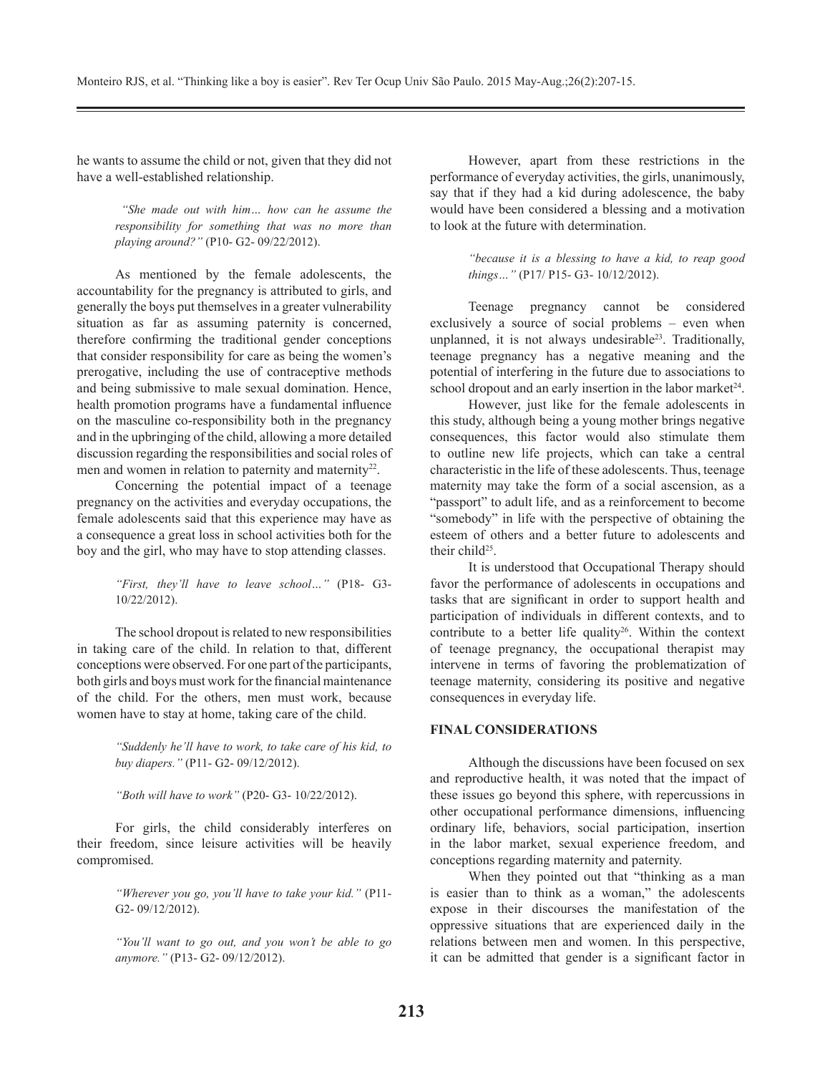he wants to assume the child or not, given that they did not have a well-established relationship.

> *"She made out with him… how can he assume the responsibility for something that was no more than playing around?"* (P10- G2- 09/22/2012).

As mentioned by the female adolescents, the accountability for the pregnancy is attributed to girls, and generally the boys put themselves in a greater vulnerability situation as far as assuming paternity is concerned, therefore confirming the traditional gender conceptions that consider responsibility for care as being the women's prerogative, including the use of contraceptive methods and being submissive to male sexual domination. Hence, health promotion programs have a fundamental influence on the masculine co-responsibility both in the pregnancy and in the upbringing of the child, allowing a more detailed discussion regarding the responsibilities and social roles of men and women in relation to paternity and maternity<sup>22</sup>.

Concerning the potential impact of a teenage pregnancy on the activities and everyday occupations, the female adolescents said that this experience may have as a consequence a great loss in school activities both for the boy and the girl, who may have to stop attending classes.

> *"First, they'll have to leave school…"* (P18- G3- 10/22/2012).

The school dropout is related to new responsibilities in taking care of the child. In relation to that, different conceptions were observed. For one part of the participants, both girls and boys must work for the financial maintenance of the child. For the others, men must work, because women have to stay at home, taking care of the child.

> *"Suddenly he'll have to work, to take care of his kid, to buy diapers."* (P11- G2- 09/12/2012).

### *"Both will have to work"* (P20- G3- 10/22/2012).

For girls, the child considerably interferes on their freedom, since leisure activities will be heavily compromised.

> *"Wherever you go, you'll have to take your kid."* (P11- G2- 09/12/2012).

> *"You'll want to go out, and you won't be able to go anymore."* (P13- G2- 09/12/2012).

However, apart from these restrictions in the performance of everyday activities, the girls, unanimously, say that if they had a kid during adolescence, the baby would have been considered a blessing and a motivation to look at the future with determination.

> *"because it is a blessing to have a kid, to reap good things…"* (P17/ P15- G3- 10/12/2012).

Teenage pregnancy cannot be considered exclusively a source of social problems – even when unplanned, it is not always undesirable<sup>23</sup>. Traditionally, teenage pregnancy has a negative meaning and the potential of interfering in the future due to associations to school dropout and an early insertion in the labor market<sup>24</sup>.

However, just like for the female adolescents in this study, although being a young mother brings negative consequences, this factor would also stimulate them to outline new life projects, which can take a central characteristic in the life of these adolescents. Thus, teenage maternity may take the form of a social ascension, as a "passport" to adult life, and as a reinforcement to become "somebody" in life with the perspective of obtaining the esteem of others and a better future to adolescents and their child<sup>25</sup>.

It is understood that Occupational Therapy should favor the performance of adolescents in occupations and tasks that are significant in order to support health and participation of individuals in different contexts, and to contribute to a better life quality<sup>26</sup>. Within the context of teenage pregnancy, the occupational therapist may intervene in terms of favoring the problematization of teenage maternity, considering its positive and negative consequences in everyday life.

### **FINAL CONSIDERATIONS**

Although the discussions have been focused on sex and reproductive health, it was noted that the impact of these issues go beyond this sphere, with repercussions in other occupational performance dimensions, influencing ordinary life, behaviors, social participation, insertion in the labor market, sexual experience freedom, and conceptions regarding maternity and paternity.

When they pointed out that "thinking as a man is easier than to think as a woman," the adolescents expose in their discourses the manifestation of the oppressive situations that are experienced daily in the relations between men and women. In this perspective, it can be admitted that gender is a significant factor in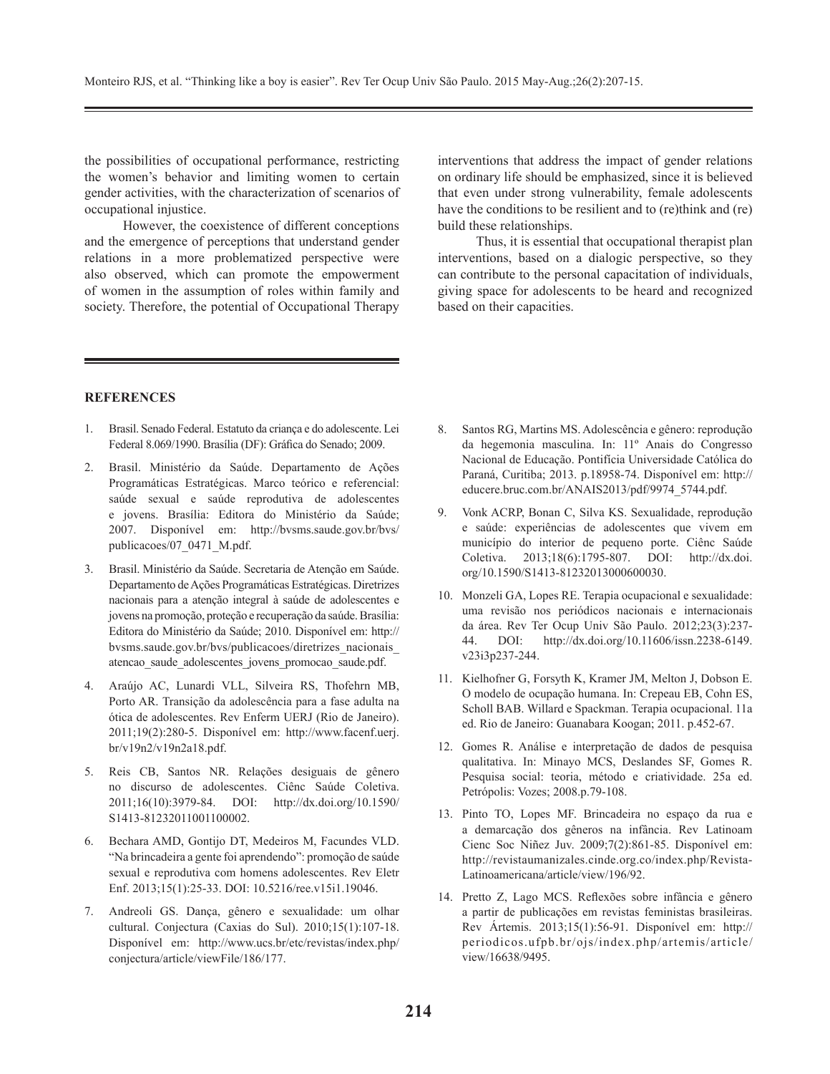the possibilities of occupational performance, restricting the women's behavior and limiting women to certain gender activities, with the characterization of scenarios of occupational injustice.

However, the coexistence of different conceptions and the emergence of perceptions that understand gender relations in a more problematized perspective were also observed, which can promote the empowerment of women in the assumption of roles within family and society. Therefore, the potential of Occupational Therapy interventions that address the impact of gender relations on ordinary life should be emphasized, since it is believed that even under strong vulnerability, female adolescents have the conditions to be resilient and to (re)think and (re) build these relationships.

Thus, it is essential that occupational therapist plan interventions, based on a dialogic perspective, so they can contribute to the personal capacitation of individuals, giving space for adolescents to be heard and recognized based on their capacities.

#### **REFERENCES**

- 1. Brasil. Senado Federal. Estatuto da criança e do adolescente. Lei Federal 8.069/1990. Brasília (DF): Gráfica do Senado; 2009.
- 2. Brasil. Ministério da Saúde. Departamento de Ações Programáticas Estratégicas. Marco teórico e referencial: saúde sexual e saúde reprodutiva de adolescentes e jovens. Brasília: Editora do Ministério da Saúde; 2007. Disponível em: http://bvsms.saude.gov.br/bvs/ publicacoes/07\_0471\_M.pdf.
- 3. Brasil. Ministério da Saúde. Secretaria de Atenção em Saúde. Departamento de Ações Programáticas Estratégicas. Diretrizes nacionais para a atenção integral à saúde de adolescentes e jovens na promoção, proteção e recuperação da saúde. Brasília: Editora do Ministério da Saúde; 2010. Disponível em: http:// bvsms.saude.gov.br/bvs/publicacoes/diretrizes\_nacionais\_ atencao\_saude\_adolescentes\_jovens\_promocao\_saude.pdf.
- 4. Araújo AC, Lunardi VLL, Silveira RS, Thofehrn MB, Porto AR. Transição da adolescência para a fase adulta na ótica de adolescentes. Rev Enferm UERJ (Rio de Janeiro). 2011;19(2):280-5. Disponível em: http://www.facenf.uerj. br/v19n2/v19n2a18.pdf.
- 5. Reis CB, Santos NR. Relações desiguais de gênero no discurso de adolescentes. Ciênc Saúde Coletiva. 2011;16(10):3979-84. DOI: http://dx.doi.org/10.1590/ S1413-81232011001100002.
- 6. Bechara AMD, Gontijo DT, Medeiros M, Facundes VLD. "Na brincadeira a gente foi aprendendo": promoção de saúde sexual e reprodutiva com homens adolescentes. Rev Eletr Enf. 2013;15(1):25-33. DOI: 10.5216/ree.v15i1.19046.
- 7. Andreoli GS. Dança, gênero e sexualidade: um olhar cultural. Conjectura (Caxias do Sul). 2010;15(1):107-18. Disponível em: http://www.ucs.br/etc/revistas/index.php/ conjectura/article/viewFile/186/177.
- 8. Santos RG, Martins MS. Adolescência e gênero: reprodução da hegemonia masculina. In: 11º Anais do Congresso Nacional de Educação. Pontifícia Universidade Católica do Paraná, Curitiba; 2013. p.18958-74. Disponível em: http:// educere.bruc.com.br/ANAIS2013/pdf/9974\_5744.pdf.
- 9. Vonk ACRP, Bonan C, Silva KS. Sexualidade, reprodução e saúde: experiências de adolescentes que vivem em município do interior de pequeno porte. Ciênc Saúde Coletiva. 2013;18(6):1795-807. DOI: http://dx.doi. org/10.1590/S1413-81232013000600030.
- 10. Monzeli GA, Lopes RE. Terapia ocupacional e sexualidade: uma revisão nos periódicos nacionais e internacionais da área. Rev Ter Ocup Univ São Paulo. 2012;23(3):237- 44. DOI: http://dx.doi.org/10.11606/issn.2238-6149. v23i3p237-244.
- 11. Kielhofner G, Forsyth K, Kramer JM, Melton J, Dobson E. O modelo de ocupação humana. In: Crepeau EB, Cohn ES, Scholl BAB. Willard e Spackman. Terapia ocupacional. 11a ed. Rio de Janeiro: Guanabara Koogan; 2011. p.452-67.
- 12. Gomes R. Análise e interpretação de dados de pesquisa qualitativa. In: Minayo MCS, Deslandes SF, Gomes R. Pesquisa social: teoria, método e criatividade. 25a ed. Petrópolis: Vozes; 2008.p.79-108.
- 13. Pinto TO, Lopes MF. Brincadeira no espaço da rua e a demarcação dos gêneros na infância. Rev Latinoam Cienc Soc Niñez Juv. 2009;7(2):861-85. Disponível em: http://revistaumanizales.cinde.org.co/index.php/Revista-Latinoamericana/article/view/196/92.
- 14. Pretto Z, Lago MCS. Reflexões sobre infância e gênero a partir de publicações em revistas feministas brasileiras. Rev Ártemis. 2013;15(1):56-91. Disponível em: http:// periodicos.ufpb.br/ojs/index.php/artemis/article/ view/16638/9495.